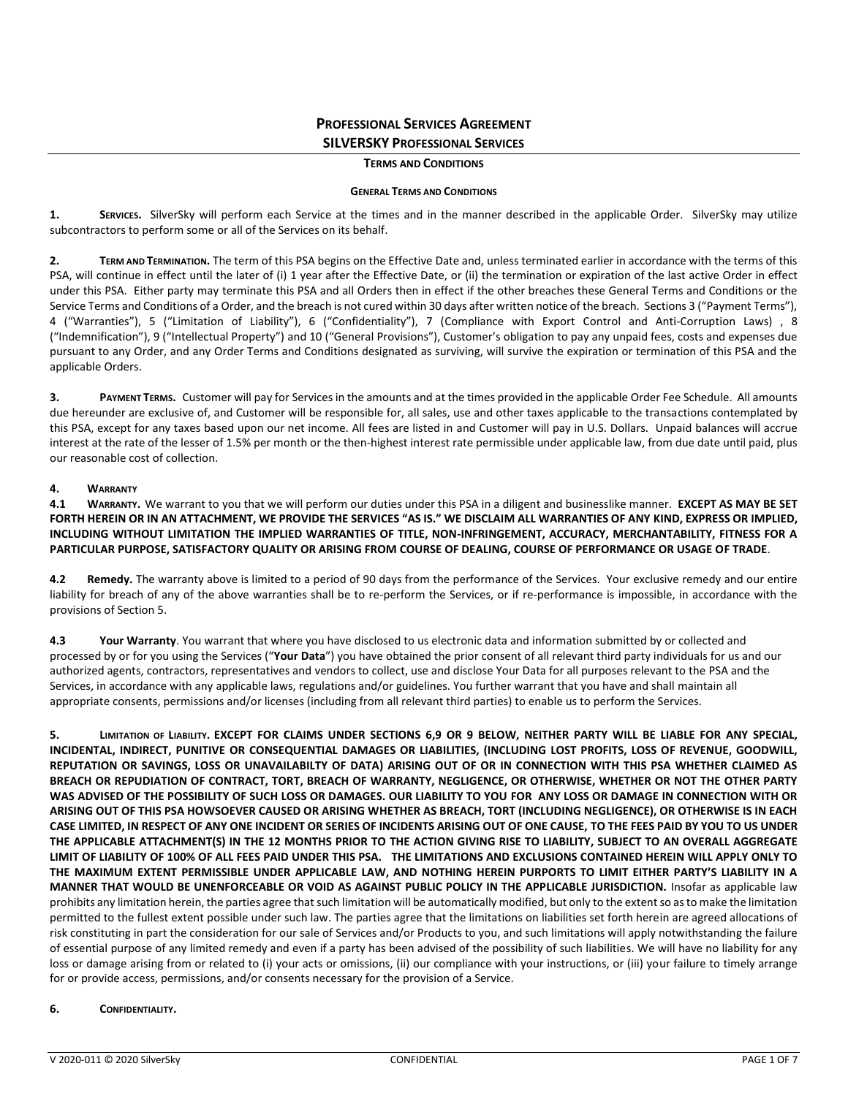# **PROFESSIONAL SERVICES AGREEMENT SILVERSKY PROFESSIONAL SERVICES**

#### **TERMS AND CONDITIONS**

#### **GENERAL TERMS AND CONDITIONS**

**1. SERVICES.** SilverSky will perform each Service at the times and in the manner described in the applicable Order. SilverSky may utilize subcontractors to perform some or all of the Services on its behalf.

**2. TERM AND TERMINATION.** The term of this PSA begins on the Effective Date and, unless terminated earlier in accordance with the terms of this PSA, will continue in effect until the later of (i) 1 year after the Effective Date, or (ii) the termination or expiration of the last active Order in effect under this PSA. Either party may terminate this PSA and all Orders then in effect if the other breaches these General Terms and Conditions or the Service Terms and Conditions of a Order, and the breach is not cured within 30 days after written notice of the breach. Sections 3 ("Payment Terms"), 4 ("Warranties"), 5 ("Limitation of Liability"), 6 ("Confidentiality"), 7 (Compliance with Export Control and Anti-Corruption Laws) , 8 ("Indemnification"), 9 ("Intellectual Property") and 10 ("General Provisions"), Customer's obligation to pay any unpaid fees, costs and expenses due pursuant to any Order, and any Order Terms and Conditions designated as surviving, will survive the expiration or termination of this PSA and the applicable Orders.

**3. PAYMENT TERMS.** Customer will pay for Services in the amounts and at the times provided in the applicable Order Fee Schedule. All amounts due hereunder are exclusive of, and Customer will be responsible for, all sales, use and other taxes applicable to the transactions contemplated by this PSA, except for any taxes based upon our net income. All fees are listed in and Customer will pay in U.S. Dollars. Unpaid balances will accrue interest at the rate of the lesser of 1.5% per month or the then-highest interest rate permissible under applicable law, from due date until paid, plus our reasonable cost of collection.

# **4. WARRANTY**

**4.1 WARRANTY.** We warrant to you that we will perform our duties under this PSA in a diligent and businesslike manner. **EXCEPT AS MAY BE SET FORTH HEREIN OR IN AN ATTACHMENT, WE PROVIDE THE SERVICES "AS IS." WE DISCLAIM ALL WARRANTIES OF ANY KIND, EXPRESS OR IMPLIED, INCLUDING WITHOUT LIMITATION THE IMPLIED WARRANTIES OF TITLE, NON-INFRINGEMENT, ACCURACY, MERCHANTABILITY, FITNESS FOR A PARTICULAR PURPOSE, SATISFACTORY QUALITY OR ARISING FROM COURSE OF DEALING, COURSE OF PERFORMANCE OR USAGE OF TRADE**.

**4.2 Remedy.** The warranty above is limited to a period of 90 days from the performance of the Services. Your exclusive remedy and our entire liability for breach of any of the above warranties shall be to re-perform the Services, or if re-performance is impossible, in accordance with the provisions of Section 5.

**4.3 Your Warranty**. You warrant that where you have disclosed to us electronic data and information submitted by or collected and processed by or for you using the Services ("**Your Data**") you have obtained the prior consent of all relevant third party individuals for us and our authorized agents, contractors, representatives and vendors to collect, use and disclose Your Data for all purposes relevant to the PSA and the Services, in accordance with any applicable laws, regulations and/or guidelines. You further warrant that you have and shall maintain all appropriate consents, permissions and/or licenses (including from all relevant third parties) to enable us to perform the Services.

**5. LIMITATION OF LIABILITY. EXCEPT FOR CLAIMS UNDER SECTIONS 6,9 OR 9 BELOW, NEITHER PARTY WILL BE LIABLE FOR ANY SPECIAL, INCIDENTAL, INDIRECT, PUNITIVE OR CONSEQUENTIAL DAMAGES OR LIABILITIES, (INCLUDING LOST PROFITS, LOSS OF REVENUE, GOODWILL, REPUTATION OR SAVINGS, LOSS OR UNAVAILABILTY OF DATA) ARISING OUT OF OR IN CONNECTION WITH THIS PSA WHETHER CLAIMED AS BREACH OR REPUDIATION OF CONTRACT, TORT, BREACH OF WARRANTY, NEGLIGENCE, OR OTHERWISE, WHETHER OR NOT THE OTHER PARTY WAS ADVISED OF THE POSSIBILITY OF SUCH LOSS OR DAMAGES. OUR LIABILITY TO YOU FOR ANY LOSS OR DAMAGE IN CONNECTION WITH OR ARISING OUT OF THIS PSA HOWSOEVER CAUSED OR ARISING WHETHER AS BREACH, TORT (INCLUDING NEGLIGENCE), OR OTHERWISE IS IN EACH CASE LIMITED, IN RESPECT OF ANY ONE INCIDENT OR SERIES OF INCIDENTS ARISING OUT OF ONE CAUSE, TO THE FEES PAID BY YOU TO US UNDER THE APPLICABLE ATTACHMENT(S) IN THE 12 MONTHS PRIOR TO THE ACTION GIVING RISE TO LIABILITY, SUBJECT TO AN OVERALL AGGREGATE LIMIT OF LIABILITY OF 100% OF ALL FEES PAID UNDER THIS PSA. THE LIMITATIONS AND EXCLUSIONS CONTAINED HEREIN WILL APPLY ONLY TO THE MAXIMUM EXTENT PERMISSIBLE UNDER APPLICABLE LAW, AND NOTHING HEREIN PURPORTS TO LIMIT EITHER PARTY'S LIABILITY IN A MANNER THAT WOULD BE UNENFORCEABLE OR VOID AS AGAINST PUBLIC POLICY IN THE APPLICABLE JURISDICTION.** Insofar as applicable law prohibits any limitation herein, the parties agree that such limitation will be automatically modified, but only to the extent so as to make the limitation permitted to the fullest extent possible under such law. The parties agree that the limitations on liabilities set forth herein are agreed allocations of risk constituting in part the consideration for our sale of Services and/or Products to you, and such limitations will apply notwithstanding the failure of essential purpose of any limited remedy and even if a party has been advised of the possibility of such liabilities. We will have no liability for any loss or damage arising from or related to (i) your acts or omissions, (ii) our compliance with your instructions, or (iii) your failure to timely arrange for or provide access, permissions, and/or consents necessary for the provision of a Service.

### **6. CONFIDENTIALITY.**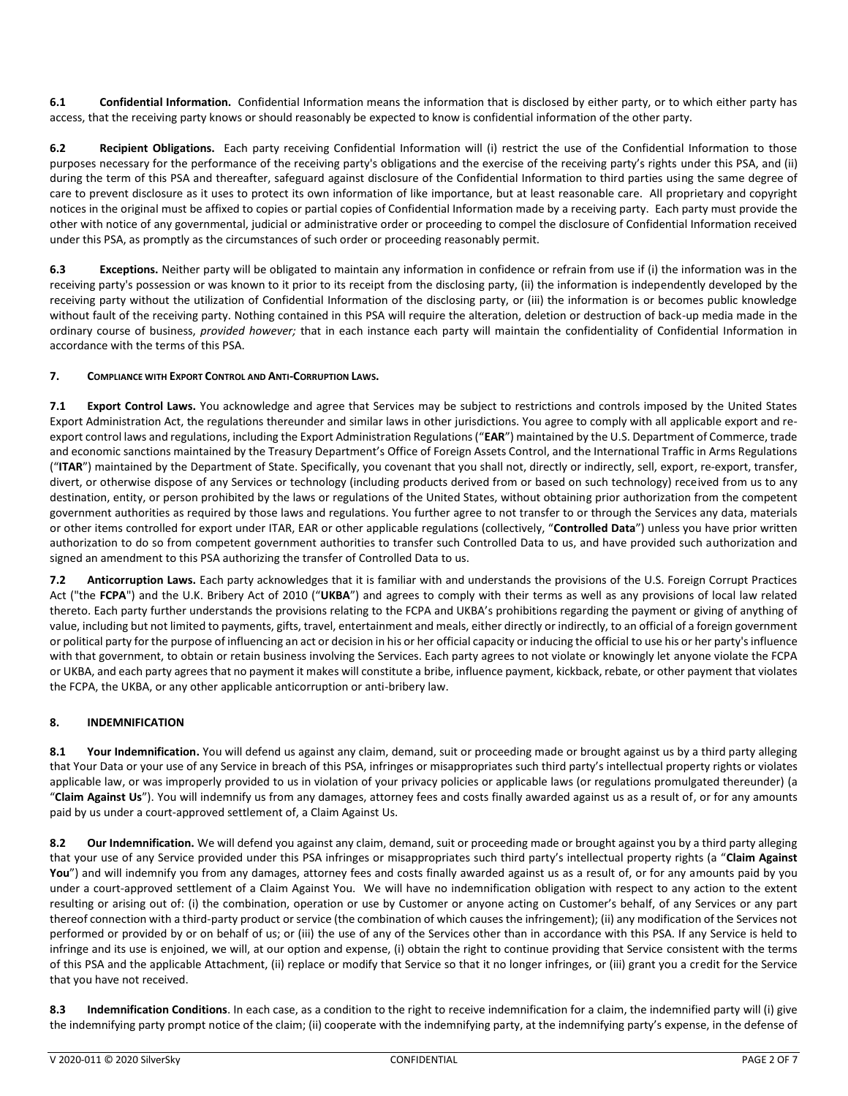**6.1 Confidential Information.** Confidential Information means the information that is disclosed by either party, or to which either party has access, that the receiving party knows or should reasonably be expected to know is confidential information of the other party.

**6.2 Recipient Obligations.** Each party receiving Confidential Information will (i) restrict the use of the Confidential Information to those purposes necessary for the performance of the receiving party's obligations and the exercise of the receiving party's rights under this PSA, and (ii) during the term of this PSA and thereafter, safeguard against disclosure of the Confidential Information to third parties using the same degree of care to prevent disclosure as it uses to protect its own information of like importance, but at least reasonable care. All proprietary and copyright notices in the original must be affixed to copies or partial copies of Confidential Information made by a receiving party. Each party must provide the other with notice of any governmental, judicial or administrative order or proceeding to compel the disclosure of Confidential Information received under this PSA, as promptly as the circumstances of such order or proceeding reasonably permit.

**6.3 Exceptions.** Neither party will be obligated to maintain any information in confidence or refrain from use if (i) the information was in the receiving party's possession or was known to it prior to its receipt from the disclosing party, (ii) the information is independently developed by the receiving party without the utilization of Confidential Information of the disclosing party, or (iii) the information is or becomes public knowledge without fault of the receiving party. Nothing contained in this PSA will require the alteration, deletion or destruction of back-up media made in the ordinary course of business, *provided however;* that in each instance each party will maintain the confidentiality of Confidential Information in accordance with the terms of this PSA.

# **7. COMPLIANCE WITH EXPORT CONTROL AND ANTI-CORRUPTION LAWS.**

**7.1 Export Control Laws.** You acknowledge and agree that Services may be subject to restrictions and controls imposed by the United States Export Administration Act, the regulations thereunder and similar laws in other jurisdictions. You agree to comply with all applicable export and reexport control laws and regulations, including the Export Administration Regulations ("**EAR**") maintained by the U.S. Department of Commerce, trade and economic sanctions maintained by the Treasury Department's Office of Foreign Assets Control, and the International Traffic in Arms Regulations ("**ITAR**") maintained by the Department of State. Specifically, you covenant that you shall not, directly or indirectly, sell, export, re-export, transfer, divert, or otherwise dispose of any Services or technology (including products derived from or based on such technology) received from us to any destination, entity, or person prohibited by the laws or regulations of the United States, without obtaining prior authorization from the competent government authorities as required by those laws and regulations. You further agree to not transfer to or through the Services any data, materials or other items controlled for export under ITAR, EAR or other applicable regulations (collectively, "**Controlled Data**") unless you have prior written authorization to do so from competent government authorities to transfer such Controlled Data to us, and have provided such authorization and signed an amendment to this PSA authorizing the transfer of Controlled Data to us.

**7.2 Anticorruption Laws.** Each party acknowledges that it is familiar with and understands the provisions of the U.S. Foreign Corrupt Practices Act ("the **FCPA**") and the U.K. Bribery Act of 2010 ("**UKBA**") and agrees to comply with their terms as well as any provisions of local law related thereto. Each party further understands the provisions relating to the FCPA and UKBA's prohibitions regarding the payment or giving of anything of value, including but not limited to payments, gifts, travel, entertainment and meals, either directly or indirectly, to an official of a foreign government or political party for the purpose of influencing an act or decision in his or her official capacity or inducing the official to use his or her party's influence with that government, to obtain or retain business involving the Services. Each party agrees to not violate or knowingly let anyone violate the FCPA or UKBA, and each party agrees that no payment it makes will constitute a bribe, influence payment, kickback, rebate, or other payment that violates the FCPA, the UKBA, or any other applicable anticorruption or anti-bribery law.

# **8. INDEMNIFICATION**

**8.1 Your Indemnification.** You will defend us against any claim, demand, suit or proceeding made or brought against us by a third party alleging that Your Data or your use of any Service in breach of this PSA, infringes or misappropriates such third party's intellectual property rights or violates applicable law, or was improperly provided to us in violation of your privacy policies or applicable laws (or regulations promulgated thereunder) (a "**Claim Against Us**"). You will indemnify us from any damages, attorney fees and costs finally awarded against us as a result of, or for any amounts paid by us under a court-approved settlement of, a Claim Against Us.

**8.2 Our Indemnification.** We will defend you against any claim, demand, suit or proceeding made or brought against you by a third party alleging that your use of any Service provided under this PSA infringes or misappropriates such third party's intellectual property rights (a "**Claim Against You**") and will indemnify you from any damages, attorney fees and costs finally awarded against us as a result of, or for any amounts paid by you under a court-approved settlement of a Claim Against You. We will have no indemnification obligation with respect to any action to the extent resulting or arising out of: (i) the combination, operation or use by Customer or anyone acting on Customer's behalf, of any Services or any part thereof connection with a third-party product or service (the combination of which causes the infringement); (ii) any modification of the Services not performed or provided by or on behalf of us; or (iii) the use of any of the Services other than in accordance with this PSA. If any Service is held to infringe and its use is enjoined, we will, at our option and expense, (i) obtain the right to continue providing that Service consistent with the terms of this PSA and the applicable Attachment, (ii) replace or modify that Service so that it no longer infringes, or (iii) grant you a credit for the Service that you have not received.

**8.3 Indemnification Conditions**. In each case, as a condition to the right to receive indemnification for a claim, the indemnified party will (i) give the indemnifying party prompt notice of the claim; (ii) cooperate with the indemnifying party, at the indemnifying party's expense, in the defense of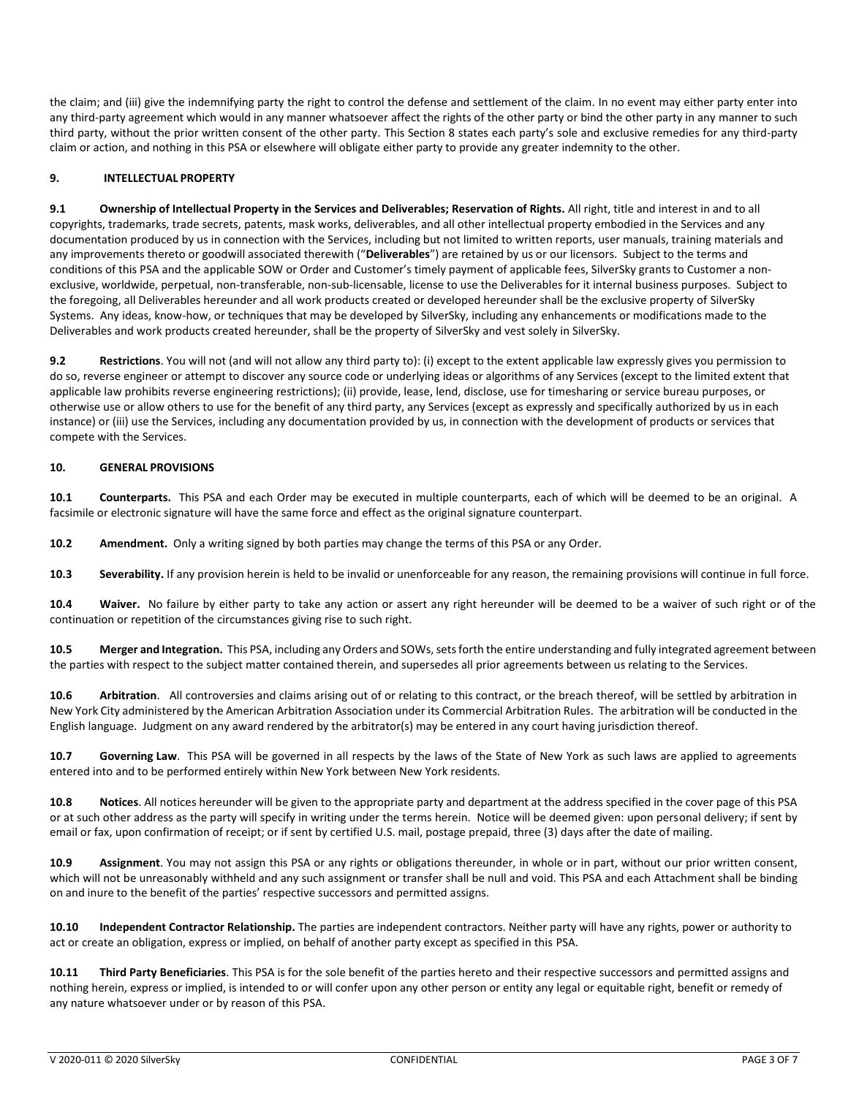the claim; and (iii) give the indemnifying party the right to control the defense and settlement of the claim. In no event may either party enter into any third-party agreement which would in any manner whatsoever affect the rights of the other party or bind the other party in any manner to such third party, without the prior written consent of the other party. This Section 8 states each party's sole and exclusive remedies for any third-party claim or action, and nothing in this PSA or elsewhere will obligate either party to provide any greater indemnity to the other.

# **9. INTELLECTUAL PROPERTY**

**9.1 Ownership of Intellectual Property in the Services and Deliverables; Reservation of Rights.** All right, title and interest in and to all copyrights, trademarks, trade secrets, patents, mask works, deliverables, and all other intellectual property embodied in the Services and any documentation produced by us in connection with the Services, including but not limited to written reports, user manuals, training materials and any improvements thereto or goodwill associated therewith ("**Deliverables**") are retained by us or our licensors. Subject to the terms and conditions of this PSA and the applicable SOW or Order and Customer's timely payment of applicable fees, SilverSky grants to Customer a nonexclusive, worldwide, perpetual, non-transferable, non-sub-licensable, license to use the Deliverables for it internal business purposes. Subject to the foregoing, all Deliverables hereunder and all work products created or developed hereunder shall be the exclusive property of SilverSky Systems. Any ideas, know-how, or techniques that may be developed by SilverSky, including any enhancements or modifications made to the Deliverables and work products created hereunder, shall be the property of SilverSky and vest solely in SilverSky.

**9.2 Restrictions**. You will not (and will not allow any third party to): (i) except to the extent applicable law expressly gives you permission to do so, reverse engineer or attempt to discover any source code or underlying ideas or algorithms of any Services (except to the limited extent that applicable law prohibits reverse engineering restrictions); (ii) provide, lease, lend, disclose, use for timesharing or service bureau purposes, or otherwise use or allow others to use for the benefit of any third party, any Services (except as expressly and specifically authorized by us in each instance) or (iii) use the Services, including any documentation provided by us, in connection with the development of products or services that compete with the Services.

### **10. GENERAL PROVISIONS**

**10.1 Counterparts.** This PSA and each Order may be executed in multiple counterparts, each of which will be deemed to be an original. A facsimile or electronic signature will have the same force and effect as the original signature counterpart.

**10.2 Amendment.** Only a writing signed by both parties may change the terms of this PSA or any Order.

**10.3 Severability.** If any provision herein is held to be invalid or unenforceable for any reason, the remaining provisions will continue in full force.

**10.4 Waiver.** No failure by either party to take any action or assert any right hereunder will be deemed to be a waiver of such right or of the continuation or repetition of the circumstances giving rise to such right.

**10.5 Merger and Integration.** This PSA, including any Orders and SOWs, sets forth the entire understanding and fully integrated agreement between the parties with respect to the subject matter contained therein, and supersedes all prior agreements between us relating to the Services.

**10.6 Arbitration**. All controversies and claims arising out of or relating to this contract, or the breach thereof, will be settled by arbitration in New York City administered by the American Arbitration Association under its Commercial Arbitration Rules. The arbitration will be conducted in the English language. Judgment on any award rendered by the arbitrator(s) may be entered in any court having jurisdiction thereof.

**10.7 Governing Law**. This PSA will be governed in all respects by the laws of the State of New York as such laws are applied to agreements entered into and to be performed entirely within New York between New York residents.

**10.8 Notices**. All notices hereunder will be given to the appropriate party and department at the address specified in the cover page of this PSA or at such other address as the party will specify in writing under the terms herein. Notice will be deemed given: upon personal delivery; if sent by email or fax, upon confirmation of receipt; or if sent by certified U.S. mail, postage prepaid, three (3) days after the date of mailing.

**10.9 Assignment**. You may not assign this PSA or any rights or obligations thereunder, in whole or in part, without our prior written consent, which will not be unreasonably withheld and any such assignment or transfer shall be null and void. This PSA and each Attachment shall be binding on and inure to the benefit of the parties' respective successors and permitted assigns.

**10.10 Independent Contractor Relationship.** The parties are independent contractors. Neither party will have any rights, power or authority to act or create an obligation, express or implied, on behalf of another party except as specified in this PSA.

**10.11 Third Party Beneficiaries**. This PSA is for the sole benefit of the parties hereto and their respective successors and permitted assigns and nothing herein, express or implied, is intended to or will confer upon any other person or entity any legal or equitable right, benefit or remedy of any nature whatsoever under or by reason of this PSA.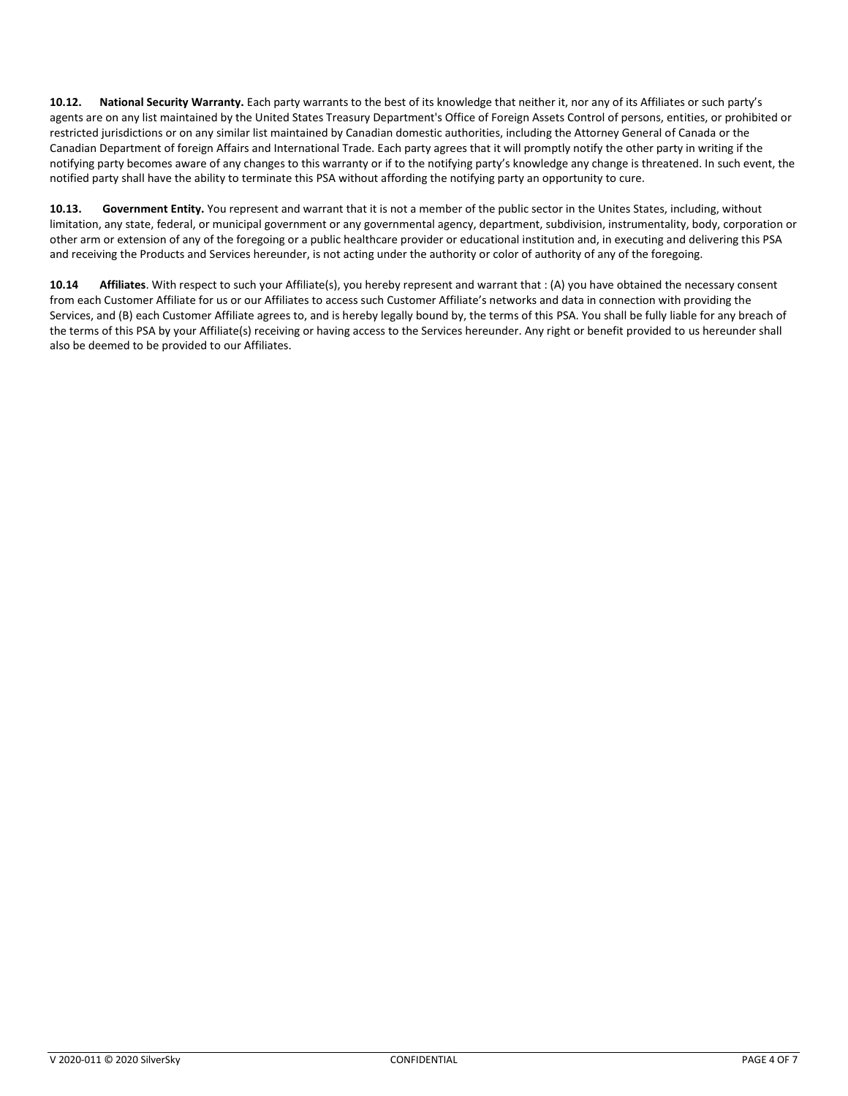**10.12. National Security Warranty.** Each party warrants to the best of its knowledge that neither it, nor any of its Affiliates or such party's agents are on any list maintained by the United States Treasury Department's Office of Foreign Assets Control of persons, entities, or prohibited or restricted jurisdictions or on any similar list maintained by Canadian domestic authorities, including the Attorney General of Canada or the Canadian Department of foreign Affairs and International Trade. Each party agrees that it will promptly notify the other party in writing if the notifying party becomes aware of any changes to this warranty or if to the notifying party's knowledge any change is threatened. In such event, the notified party shall have the ability to terminate this PSA without affording the notifying party an opportunity to cure.

**10.13. Government Entity.** You represent and warrant that it is not a member of the public sector in the Unites States, including, without limitation, any state, federal, or municipal government or any governmental agency, department, subdivision, instrumentality, body, corporation or other arm or extension of any of the foregoing or a public healthcare provider or educational institution and, in executing and delivering this PSA and receiving the Products and Services hereunder, is not acting under the authority or color of authority of any of the foregoing.

**10.14 Affiliates**. With respect to such your Affiliate(s), you hereby represent and warrant that : (A) you have obtained the necessary consent from each Customer Affiliate for us or our Affiliates to access such Customer Affiliate's networks and data in connection with providing the Services, and (B) each Customer Affiliate agrees to, and is hereby legally bound by, the terms of this PSA. You shall be fully liable for any breach of the terms of this PSA by your Affiliate(s) receiving or having access to the Services hereunder. Any right or benefit provided to us hereunder shall also be deemed to be provided to our Affiliates.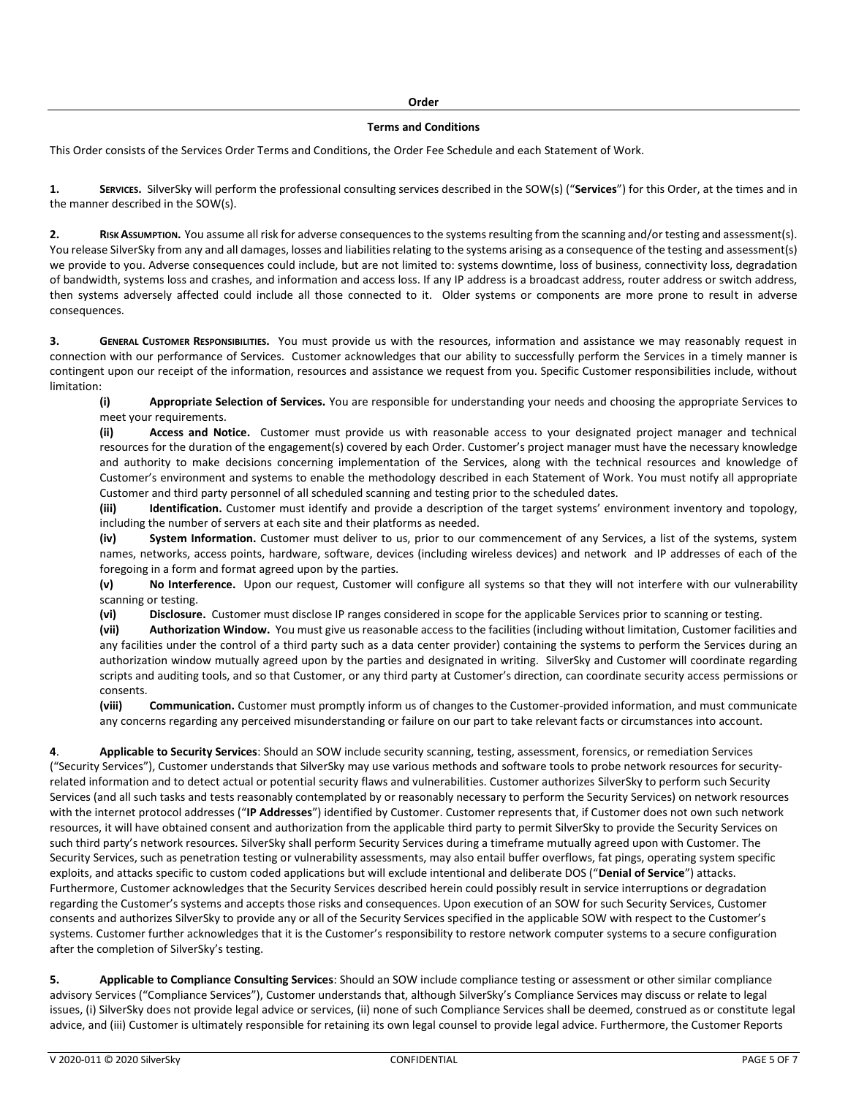#### **Order**

#### **Terms and Conditions**

This Order consists of the Services Order Terms and Conditions, the Order Fee Schedule and each Statement of Work.

**1. SERVICES.** SilverSky will perform the professional consulting services described in the SOW(s) ("**Services**") for this Order, at the times and in the manner described in the SOW(s).

**2. RISK ASSUMPTION.** You assume all risk for adverse consequences to the systems resulting from the scanning and/or testing and assessment(s). You release SilverSky from any and all damages, losses and liabilities relating to the systems arising as a consequence of the testing and assessment(s) we provide to you. Adverse consequences could include, but are not limited to: systems downtime, loss of business, connectivity loss, degradation of bandwidth, systems loss and crashes, and information and access loss. If any IP address is a broadcast address, router address or switch address, then systems adversely affected could include all those connected to it. Older systems or components are more prone to result in adverse consequences.

**3. GENERAL CUSTOMER RESPONSIBILITIES.** You must provide us with the resources, information and assistance we may reasonably request in connection with our performance of Services. Customer acknowledges that our ability to successfully perform the Services in a timely manner is contingent upon our receipt of the information, resources and assistance we request from you. Specific Customer responsibilities include, without limitation:

**(i) Appropriate Selection of Services.** You are responsible for understanding your needs and choosing the appropriate Services to meet your requirements.

**(ii) Access and Notice.** Customer must provide us with reasonable access to your designated project manager and technical resources for the duration of the engagement(s) covered by each Order. Customer's project manager must have the necessary knowledge and authority to make decisions concerning implementation of the Services, along with the technical resources and knowledge of Customer's environment and systems to enable the methodology described in each Statement of Work. You must notify all appropriate Customer and third party personnel of all scheduled scanning and testing prior to the scheduled dates.

**(iii) Identification.** Customer must identify and provide a description of the target systems' environment inventory and topology, including the number of servers at each site and their platforms as needed.

**(iv) System Information.** Customer must deliver to us, prior to our commencement of any Services, a list of the systems, system names, networks, access points, hardware, software, devices (including wireless devices) and network and IP addresses of each of the foregoing in a form and format agreed upon by the parties.

**(v) No Interference.** Upon our request, Customer will configure all systems so that they will not interfere with our vulnerability scanning or testing.

**(vi) Disclosure.** Customer must disclose IP ranges considered in scope for the applicable Services prior to scanning or testing.

**(vii) Authorization Window.** You must give us reasonable access to the facilities (including without limitation, Customer facilities and any facilities under the control of a third party such as a data center provider) containing the systems to perform the Services during an authorization window mutually agreed upon by the parties and designated in writing. SilverSky and Customer will coordinate regarding scripts and auditing tools, and so that Customer, or any third party at Customer's direction, can coordinate security access permissions or consents.

**(viii) Communication.** Customer must promptly inform us of changes to the Customer-provided information, and must communicate any concerns regarding any perceived misunderstanding or failure on our part to take relevant facts or circumstances into account.

**4**. **Applicable to Security Services**: Should an SOW include security scanning, testing, assessment, forensics, or remediation Services ("Security Services"), Customer understands that SilverSky may use various methods and software tools to probe network resources for securityrelated information and to detect actual or potential security flaws and vulnerabilities. Customer authorizes SilverSky to perform such Security Services (and all such tasks and tests reasonably contemplated by or reasonably necessary to perform the Security Services) on network resources with the internet protocol addresses ("**IP Addresses**") identified by Customer. Customer represents that, if Customer does not own such network resources, it will have obtained consent and authorization from the applicable third party to permit SilverSky to provide the Security Services on such third party's network resources. SilverSky shall perform Security Services during a timeframe mutually agreed upon with Customer. The Security Services, such as penetration testing or vulnerability assessments, may also entail buffer overflows, fat pings, operating system specific exploits, and attacks specific to custom coded applications but will exclude intentional and deliberate DOS ("**Denial of Service**") attacks. Furthermore, Customer acknowledges that the Security Services described herein could possibly result in service interruptions or degradation regarding the Customer's systems and accepts those risks and consequences. Upon execution of an SOW for such Security Services, Customer consents and authorizes SilverSky to provide any or all of the Security Services specified in the applicable SOW with respect to the Customer's systems. Customer further acknowledges that it is the Customer's responsibility to restore network computer systems to a secure configuration after the completion of SilverSky's testing.

**5. Applicable to Compliance Consulting Services**: Should an SOW include compliance testing or assessment or other similar compliance advisory Services ("Compliance Services"), Customer understands that, although SilverSky's Compliance Services may discuss or relate to legal issues, (i) SilverSky does not provide legal advice or services, (ii) none of such Compliance Services shall be deemed, construed as or constitute legal advice, and (iii) Customer is ultimately responsible for retaining its own legal counsel to provide legal advice. Furthermore, the Customer Reports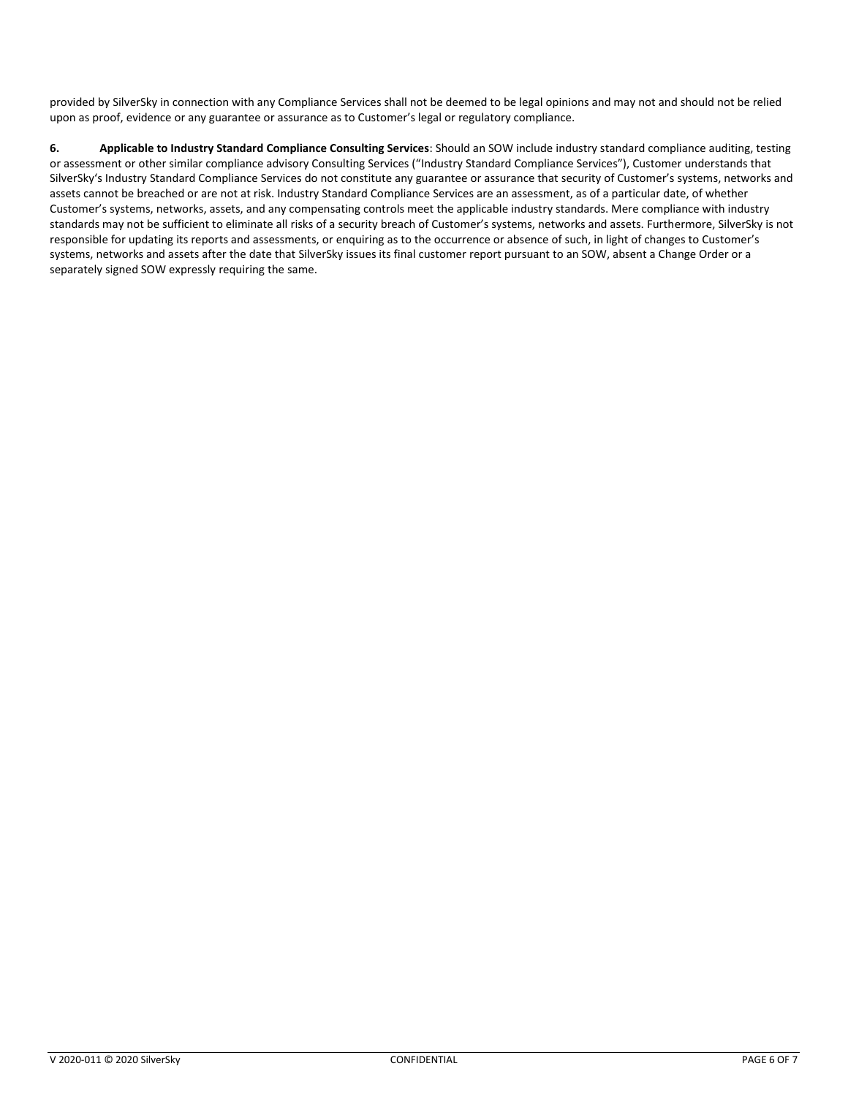provided by SilverSky in connection with any Compliance Services shall not be deemed to be legal opinions and may not and should not be relied upon as proof, evidence or any guarantee or assurance as to Customer's legal or regulatory compliance.

**6. Applicable to Industry Standard Compliance Consulting Services**: Should an SOW include industry standard compliance auditing, testing or assessment or other similar compliance advisory Consulting Services ("Industry Standard Compliance Services"), Customer understands that SilverSky's Industry Standard Compliance Services do not constitute any guarantee or assurance that security of Customer's systems, networks and assets cannot be breached or are not at risk. Industry Standard Compliance Services are an assessment, as of a particular date, of whether Customer's systems, networks, assets, and any compensating controls meet the applicable industry standards. Mere compliance with industry standards may not be sufficient to eliminate all risks of a security breach of Customer's systems, networks and assets. Furthermore, SilverSky is not responsible for updating its reports and assessments, or enquiring as to the occurrence or absence of such, in light of changes to Customer's systems, networks and assets after the date that SilverSky issues its final customer report pursuant to an SOW, absent a Change Order or a separately signed SOW expressly requiring the same.